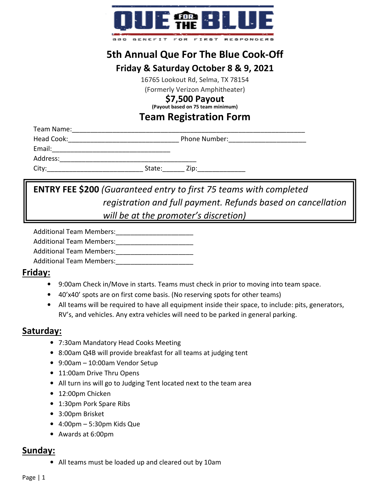

# **5th Annual Que For The Blue Cook-Off**

# **Friday & Saturday October 8 & 9, 2021**

16765 Lookout Rd, Selma, TX 78154

(Formerly Verizon Amphitheater)

#### **\$7,500 Payout**

**(Payout based on 75 team minimum)** 

#### **Team Registration Form**

| Team Name: |        |                      |
|------------|--------|----------------------|
| Head Cook: |        | <b>Phone Number:</b> |
| Email:     |        |                      |
| Address:   |        |                      |
| City:      | State: | Zip:                 |

# **ENTRY FEE \$200** *(Guaranteed entry to first 75 teams with completed registration and full payment. Refunds based on cancellation will be at the promoter's discretion)*

Additional Team Members:

Additional Team Members:

Additional Team Members:

Additional Team Members:

## **Friday:**

- 9:00am Check in/Move in starts. Teams must check in prior to moving into team space.
- 40'x40' spots are on first come basis. (No reserving spots for other teams)
- All teams will be required to have all equipment inside their space, to include: pits, generators, RV's, and vehicles. Any extra vehicles will need to be parked in general parking.

## **Saturday:**

- 7:30am Mandatory Head Cooks Meeting
- 8:00am Q4B will provide breakfast for all teams at judging tent
- 9:00am 10:00am Vendor Setup
- 11:00am Drive Thru Opens
- All turn ins will go to Judging Tent located next to the team area
- 12:00pm Chicken
- 1:30pm Pork Spare Ribs
- 3:00pm Brisket
- 4:00pm 5:30pm Kids Que
- Awards at 6:00pm

#### **Sunday:**

• All teams must be loaded up and cleared out by 10am